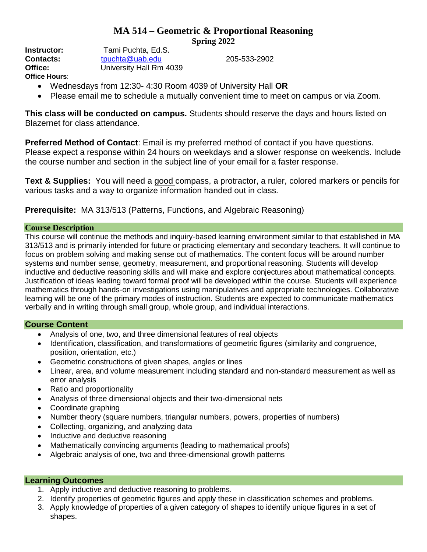# **MA 514 – Geometric & Proportional Reasoning Spring 2022**

**Instructor:** Tami Puchta, Ed.S. **Contacts:** [tpuchta@uab.edu](mailto:tpuchta@uab.edu) 205-533-2902 **Office:** University Hall Rm 4039 **Office Hours**:

- Wednesdays from 12:30- 4:30 Room 4039 of University Hall **OR**
- Please email me to schedule a mutually convenient time to meet on campus or via Zoom.

**This class will be conducted on campus.** Students should reserve the days and hours listed on Blazernet for class attendance.

**Preferred Method of Contact**: Email is my preferred method of contact if you have questions. Please expect a response within 24 hours on weekdays and a slower response on weekends. Include the course number and section in the subject line of your email for a faster response.

**Text & Supplies:** You will need a good compass, a protractor, a ruler, colored markers or pencils for various tasks and a way to organize information handed out in class.

**Prerequisite:** MA 313/513 (Patterns, Functions, and Algebraic Reasoning)

# **Course Description**

This course will continue the methods and inquiry-based learning environment similar to that established in MA 313/513 and is primarily intended for future or practicing elementary and secondary teachers. It will continue to focus on problem solving and making sense out of mathematics. The content focus will be around number systems and number sense, geometry, measurement, and proportional reasoning. Students will develop inductive and deductive reasoning skills and will make and explore conjectures about mathematical concepts. Justification of ideas leading toward formal proof will be developed within the course. Students will experience mathematics through hands-on investigations using manipulatives and appropriate technologies. Collaborative learning will be one of the primary modes of instruction. Students are expected to communicate mathematics verbally and in writing through small group, whole group, and individual interactions.

# **Course Content**

- Analysis of one, two, and three dimensional features of real objects
- Identification, classification, and transformations of geometric figures (similarity and congruence, position, orientation, etc.)
- Geometric constructions of given shapes, angles or lines
- Linear, area, and volume measurement including standard and non-standard measurement as well as error analysis
- Ratio and proportionality
- Analysis of three dimensional objects and their two-dimensional nets
- Coordinate graphing
- Number theory (square numbers, triangular numbers, powers, properties of numbers)
- Collecting, organizing, and analyzing data
- Inductive and deductive reasoning
- Mathematically convincing arguments (leading to mathematical proofs)
- Algebraic analysis of one, two and three-dimensional growth patterns

# **Learning Outcomes**

- 1. Apply inductive and deductive reasoning to problems.
- 2. Identify properties of geometric figures and apply these in classification schemes and problems.
- 3. Apply knowledge of properties of a given category of shapes to identify unique figures in a set of shapes.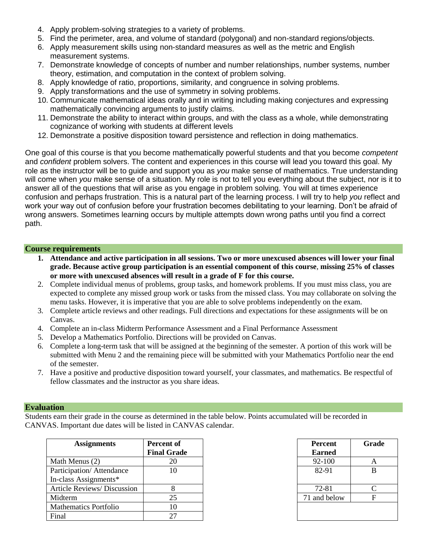- 4. Apply problem-solving strategies to a variety of problems.
- 5. Find the perimeter, area, and volume of standard (polygonal) and non-standard regions/objects.
- 6. Apply measurement skills using non-standard measures as well as the metric and English measurement systems.
- 7. Demonstrate knowledge of concepts of number and number relationships, number systems, number theory, estimation, and computation in the context of problem solving.
- 8. Apply knowledge of ratio, proportions, similarity, and congruence in solving problems.
- 9. Apply transformations and the use of symmetry in solving problems.
- 10. Communicate mathematical ideas orally and in writing including making conjectures and expressing mathematically convincing arguments to justify claims.
- 11. Demonstrate the ability to interact within groups, and with the class as a whole, while demonstrating cognizance of working with students at different levels
- 12. Demonstrate a positive disposition toward persistence and reflection in doing mathematics.

One goal of this course is that you become mathematically powerful students and that you become *competent* and *confident* problem solvers. The content and experiences in this course will lead you toward this goal. My role as the instructor will be to guide and support you as *you* make sense of mathematics. True understanding will come when *you* make sense of a situation. My role is not to tell you everything about the subject, nor is it to answer all of the questions that will arise as you engage in problem solving. You will at times experience confusion and perhaps frustration. This is a natural part of the learning process. I will try to help *you* reflect and work your way out of confusion before your frustration becomes debilitating to your learning. Don't be afraid of wrong answers. Sometimes learning occurs by multiple attempts down wrong paths until you find a correct path.

#### **Course requirements**

- **1. Attendance and active participation in all sessions. Two or more unexcused absences will lower your final grade. Because active group participation is an essential component of this course**, **missing 25% of classes or more with unexcused absences will result in a grade of F for this course.**
- 2. Complete individual menus of problems, group tasks, and homework problems. If you must miss class, you are expected to complete any missed group work or tasks from the missed class. You may collaborate on solving the menu tasks. However, it is imperative that you are able to solve problems independently on the exam.
- 3. Complete article reviews and other readings. Full directions and expectations for these assignments will be on Canvas.
- 4. Complete an in-class Midterm Performance Assessment and a Final Performance Assessment
- 5. Develop a Mathematics Portfolio. Directions will be provided on Canvas.
- 6. Complete a long-term task that will be assigned at the beginning of the semester. A portion of this work will be submitted with Menu 2 and the remaining piece will be submitted with your Mathematics Portfolio near the end of the semester.
- 7. Have a positive and productive disposition toward yourself, your classmates, and mathematics. Be respectful of fellow classmates and the instructor as you share ideas.

#### **Evaluation**

Students earn their grade in the course as determined in the table below. Points accumulated will be recorded in CANVAS. Important due dates will be listed in CANVAS calendar.

| <b>Assignments</b>           | <b>Percent of</b><br><b>Final Grade</b> | <b>Percent</b><br><b>Earned</b> | Gra |
|------------------------------|-----------------------------------------|---------------------------------|-----|
| Math Menus (2)               | 20                                      | 92-100                          | A   |
| Participation/Attendance     | 10                                      | 82-91                           | B   |
| In-class Assignments*        |                                         |                                 |     |
| Article Reviews/Discussion   |                                         | 72-81                           |     |
| Midterm                      | 25                                      | 71 and below                    | F   |
| <b>Mathematics Portfolio</b> | 10                                      |                                 |     |
| Final                        | 27                                      |                                 |     |

| t of<br>Frade | <b>Percent</b><br><b>Earned</b> | Grade |
|---------------|---------------------------------|-------|
| 20            | 92-100                          |       |
| 10            | 82-91                           |       |
|               | 72-81                           |       |
| 25            | 71 and below                    |       |
| 10            |                                 |       |
| 27            |                                 |       |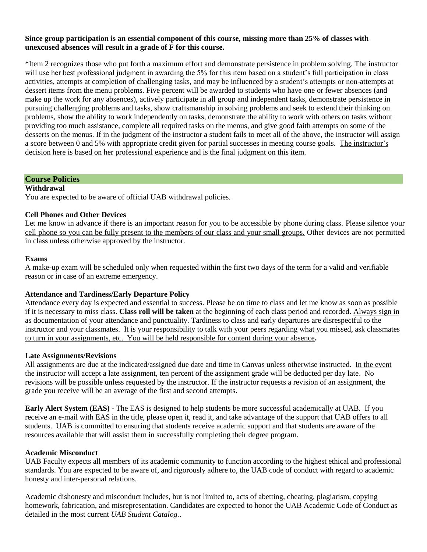### **Since group participation is an essential component of this course, missing more than 25% of classes with unexcused absences will result in a grade of F for this course.**

\*Item 2 recognizes those who put forth a maximum effort and demonstrate persistence in problem solving. The instructor will use her best professional judgment in awarding the 5% for this item based on a student's full participation in class activities, attempts at completion of challenging tasks, and may be influenced by a student's attempts or non-attempts at dessert items from the menu problems. Five percent will be awarded to students who have one or fewer absences (and make up the work for any absences), actively participate in all group and independent tasks, demonstrate persistence in pursuing challenging problems and tasks, show craftsmanship in solving problems and seek to extend their thinking on problems, show the ability to work independently on tasks, demonstrate the ability to work with others on tasks without providing too much assistance, complete all required tasks on the menus, and give good faith attempts on some of the desserts on the menus. If in the judgment of the instructor a student fails to meet all of the above, the instructor will assign a score between 0 and 5% with appropriate credit given for partial successes in meeting course goals. The instructor's decision here is based on her professional experience and is the final judgment on this item.

# **Course Policies**

#### **Withdrawal**

You are expected to be aware of official UAB withdrawal policies.

#### **Cell Phones and Other Devices**

Let me know in advance if there is an important reason for you to be accessible by phone during class. Please silence your cell phone so you can be fully present to the members of our class and your small groups. Other devices are not permitted in class unless otherwise approved by the instructor.

#### **Exams**

A make-up exam will be scheduled only when requested within the first two days of the term for a valid and verifiable reason or in case of an extreme emergency.

#### **Attendance and Tardiness/Early Departure Policy**

Attendance every day is expected and essential to success. Please be on time to class and let me know as soon as possible if it is necessary to miss class. **Class roll will be taken** at the beginning of each class period and recorded. Always sign in as documentation of your attendance and punctuality. Tardiness to class and early departures are disrespectful to the instructor and your classmates. It is your responsibility to talk with your peers regarding what you missed, ask classmates to turn in your assignments, etc. You will be held responsible for content during your absence**.** 

#### **Late Assignments/Revisions**

All assignments are due at the indicated/assigned due date and time in Canvas unless otherwise instructed. In the event the instructor will accept a late assignment, ten percent of the assignment grade will be deducted per day late. No revisions will be possible unless requested by the instructor. If the instructor requests a revision of an assignment, the grade you receive will be an average of the first and second attempts.

**Early Alert System (EAS)** - The EAS is designed to help students be more successful academically at UAB. If you receive an e-mail with EAS in the title, please open it, read it, and take advantage of the support that UAB offers to all students. UAB is committed to ensuring that students receive academic support and that students are aware of the resources available that will assist them in successfully completing their degree program.

#### **Academic Misconduct**

UAB Faculty expects all members of its academic community to function according to the highest ethical and professional standards. You are expected to be aware of, and rigorously adhere to, the UAB code of conduct with regard to academic honesty and inter-personal relations.

Academic dishonesty and misconduct includes, but is not limited to, acts of abetting, cheating, plagiarism, copying homework, fabrication, and misrepresentation. Candidates are expected to honor the UAB Academic Code of Conduct as detailed in the most current *UAB Student Catalog.*.